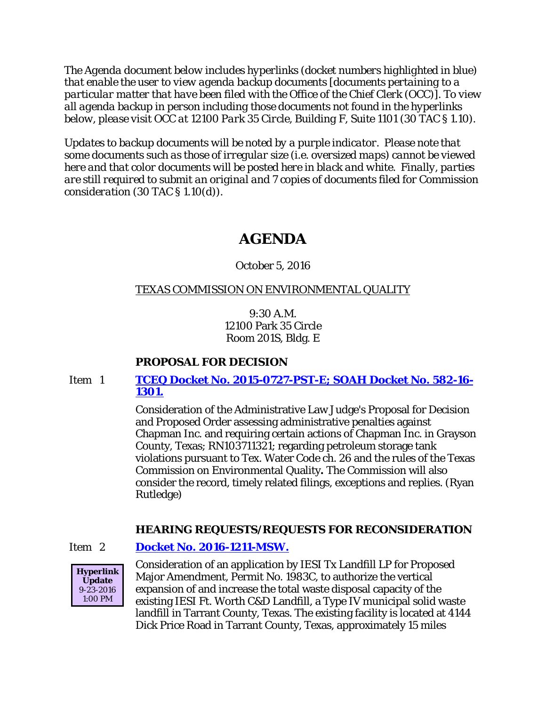*The Agenda document below includes hyperlinks (docket numbers highlighted in blue) that enable the user to view agenda backup documents [documents pertaining to a particular matter that have been filed with the Office of the Chief Clerk (OCC)]. To view all agenda backup in person including those documents not found in the hyperlinks below, please visit OCC at 12100 Park 35 Circle, Building F, Suite 1101 (30 TAC § 1.10).*

*Updates to backup documents will be noted by a purple indicator. Please note that some documents such as those of irregular size (i.e. oversized maps) cannot be viewed here and that color documents will be posted here in black and white. Finally, parties are still required to submit an original and 7 copies of documents filed for Commission consideration (30 TAC § 1.10(d)).*

# **AGENDA**

October 5, 2016

# TEXAS COMMISSION ON ENVIRONMENTAL QUALITY

9:30 A.M. 12100 Park 35 Circle Room 201S, Bldg. E

# **PROPOSAL FOR DECISION**

# Item 1 **[TCEQ Docket No. 2015-0727-PST-E; SOAH Docket No. 582-16-](http://www.tceq.texas.gov/assets/public/comm_exec/agendas/comm/backup/Agendas/2016/10-05-2016/chapman.pdf) [1301.](http://www.tceq.texas.gov/assets/public/comm_exec/agendas/comm/backup/Agendas/2016/10-05-2016/chapman.pdf)**

Consideration of the Administrative Law Judge's Proposal for Decision and Proposed Order assessing administrative penalties against Chapman Inc. and requiring certain actions of Chapman Inc. in Grayson County, Texas; RN103711321; regarding petroleum storage tank violations pursuant to Tex. Water Code ch. 26 and the rules of the Texas Commission on Environmental Quality**.** The Commission will also consider the record, timely related filings, exceptions and replies. (Ryan Rutledge)

# **HEARING REQUESTS/REQUESTS FOR RECONSIDERATION**

# Item 2 **[Docket No. 2016-1211-MSW.](http://www.tceq.texas.gov/assets/public/comm_exec/agendas/comm/backup/Agendas/2016/10-05-2016/iesi.pdf)**



Consideration of an application by IESI Tx Landfill LP for Proposed Major Amendment, Permit No. 1983C, to authorize the vertical expansion of and increase the total waste disposal capacity of the existing IESI Ft. Worth C&D Landfill, a Type IV municipal solid waste landfill in Tarrant County, Texas. The existing facility is located at 4144 Dick Price Road in Tarrant County, Texas, approximately 15 miles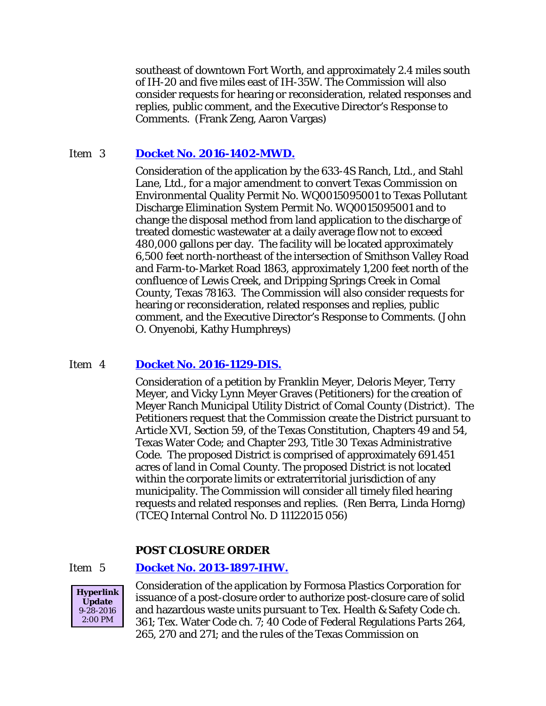southeast of downtown Fort Worth, and approximately 2.4 miles south of IH-20 and five miles east of IH-35W. The Commission will also consider requests for hearing or reconsideration, related responses and replies, public comment, and the Executive Director's Response to Comments. (Frank Zeng, Aaron Vargas)

### Item 3 **[Docket No. 2016-1402-MWD.](http://www.tceq.texas.gov/assets/public/comm_exec/agendas/comm/backup/Agendas/2016/10-05-2016/4S.pdf)**

Consideration of the application by the 633-4S Ranch, Ltd., and Stahl Lane, Ltd., for a major amendment to convert Texas Commission on Environmental Quality Permit No. WQ0015095001 to Texas Pollutant Discharge Elimination System Permit No. WQ0015095001 and to change the disposal method from land application to the discharge of treated domestic wastewater at a daily average flow not to exceed 480,000 gallons per day. The facility will be located approximately 6,500 feet north-northeast of the intersection of Smithson Valley Road and Farm-to-Market Road 1863, approximately 1,200 feet north of the confluence of Lewis Creek, and Dripping Springs Creek in Comal County, Texas 78163. The Commission will also consider requests for hearing or reconsideration, related responses and replies, public comment, and the Executive Director's Response to Comments. (John O. Onyenobi, Kathy Humphreys)

### Item 4 **[Docket No. 2016-1129-DIS.](http://www.tceq.texas.gov/assets/public/comm_exec/agendas/comm/backup/Agendas/2016/10-05-2016/meyer.pdf)**

Consideration of a petition by Franklin Meyer, Deloris Meyer, Terry Meyer, and Vicky Lynn Meyer Graves (Petitioners) for the creation of Meyer Ranch Municipal Utility District of Comal County (District). The Petitioners request that the Commission create the District pursuant to Article XVI, Section 59, of the Texas Constitution, Chapters 49 and 54, Texas Water Code; and Chapter 293, Title 30 Texas Administrative Code. The proposed District is comprised of approximately 691.451 acres of land in Comal County. The proposed District is not located within the corporate limits or extraterritorial jurisdiction of any municipality. The Commission will consider all timely filed hearing requests and related responses and replies. (Ren Berra, Linda Horng) (TCEQ Internal Control No. D 11122015 056)

# **POST CLOSURE ORDER**

### Item 5 **[Docket No. 2013-1897-IHW.](http://www.tceq.texas.gov/assets/public/comm_exec/agendas/comm/backup/Agendas/2016/10-05-2016/formosa.pdf)**



Consideration of the application by Formosa Plastics Corporation for issuance of a post-closure order to authorize post-closure care of solid and hazardous waste units pursuant to Tex. Health & Safety Code ch. 361; Tex. Water Code ch. 7; 40 Code of Federal Regulations Parts 264, 265, 270 and 271; and the rules of the Texas Commission on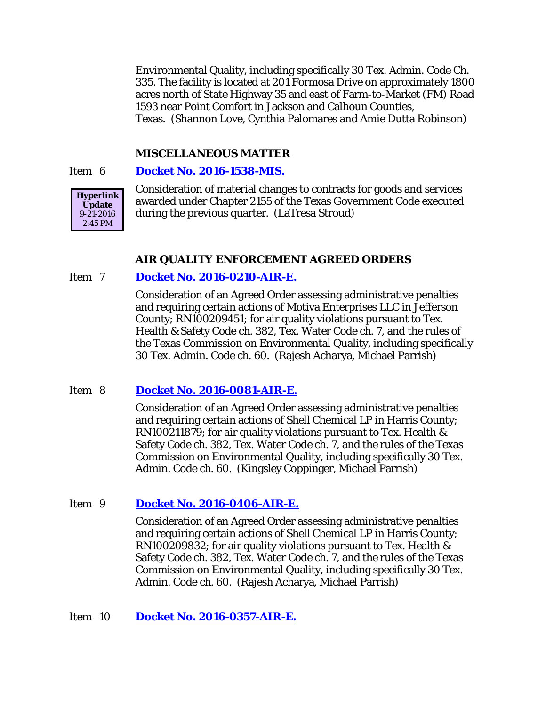Environmental Quality, including specifically 30 Tex. Admin. Code Ch. 335. The facility is located at 201 Formosa Drive on approximately 1800 acres north of State Highway 35 and east of Farm-to-Market (FM) Road 1593 near Point Comfort in Jackson and Calhoun Counties, Texas. (Shannon Love, Cynthia Palomares and Amie Dutta Robinson)

#### **MISCELLANEOUS MATTER**

#### Item 6 **[Docket No. 2016-1538-MIS.](http://www.tceq.texas.gov/assets/public/comm_exec/agendas/comm/backup/Agendas/2016/10-05-2016/1538MIS.pdf)**



Consideration of material changes to contracts for goods and services awarded under Chapter 2155 of the Texas Government Code executed during the previous quarter. (LaTresa Stroud)

#### **AIR QUALITY ENFORCEMENT AGREED ORDERS**

#### Item 7 **[Docket No. 2016-0210-AIR-E.](http://www.tceq.texas.gov/assets/public/comm_exec/agendas/comm/backup/Agendas/2016/10-05-2016/0210AIR.pdf)**

Consideration of an Agreed Order assessing administrative penalties and requiring certain actions of Motiva Enterprises LLC in Jefferson County; RN100209451; for air quality violations pursuant to Tex. Health & Safety Code ch. 382, Tex. Water Code ch. 7, and the rules of the Texas Commission on Environmental Quality, including specifically 30 Tex. Admin. Code ch. 60. (Rajesh Acharya, Michael Parrish)

#### Item 8 **[Docket No. 2016-0081-AIR-E.](http://www.tceq.texas.gov/assets/public/comm_exec/agendas/comm/backup/Agendas/2016/10-05-2016/0081AIR.pdf)**

Consideration of an Agreed Order assessing administrative penalties and requiring certain actions of Shell Chemical LP in Harris County; RN100211879; for air quality violations pursuant to Tex. Health & Safety Code ch. 382, Tex. Water Code ch. 7, and the rules of the Texas Commission on Environmental Quality, including specifically 30 Tex. Admin. Code ch. 60. (Kingsley Coppinger, Michael Parrish)

#### Item 9 **[Docket No. 2016-0406-AIR-E.](http://www.tceq.texas.gov/assets/public/comm_exec/agendas/comm/backup/Agendas/2016/10-05-2016/0406AIR.pdf)**

Consideration of an Agreed Order assessing administrative penalties and requiring certain actions of Shell Chemical LP in Harris County; RN100209832; for air quality violations pursuant to Tex. Health & Safety Code ch. 382, Tex. Water Code ch. 7, and the rules of the Texas Commission on Environmental Quality, including specifically 30 Tex. Admin. Code ch. 60. (Rajesh Acharya, Michael Parrish)

#### Item 10 **[Docket No. 2016-0357-AIR-E.](http://www.tceq.texas.gov/assets/public/comm_exec/agendas/comm/backup/Agendas/2016/10-05-2016/0357AIR.pdf)**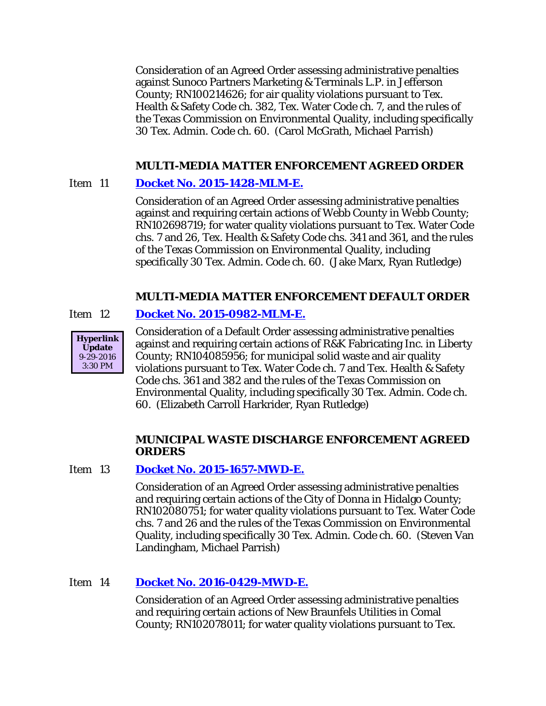Consideration of an Agreed Order assessing administrative penalties against Sunoco Partners Marketing & Terminals L.P. in Jefferson County; RN100214626; for air quality violations pursuant to Tex. Health & Safety Code ch. 382, Tex. Water Code ch. 7, and the rules of the Texas Commission on Environmental Quality, including specifically 30 Tex. Admin. Code ch. 60. (Carol McGrath, Michael Parrish)

# **MULTI-MEDIA MATTER ENFORCEMENT AGREED ORDER**

# Item 11 **[Docket No. 2015-1428-MLM-E.](http://www.tceq.texas.gov/assets/public/comm_exec/agendas/comm/backup/Agendas/2016/10-05-2016/1428MLM.pdf)**

Consideration of an Agreed Order assessing administrative penalties against and requiring certain actions of Webb County in Webb County; RN102698719; for water quality violations pursuant to Tex. Water Code chs. 7 and 26, Tex. Health & Safety Code chs. 341 and 361, and the rules of the Texas Commission on Environmental Quality, including specifically 30 Tex. Admin. Code ch. 60. (Jake Marx, Ryan Rutledge)

### **MULTI-MEDIA MATTER ENFORCEMENT DEFAULT ORDER**

### Item 12 **[Docket No. 2015-0982-MLM-E.](http://www.tceq.texas.gov/assets/public/comm_exec/agendas/comm/backup/Agendas/2016/10-05-2016/0982MLM.pdf)**



Consideration of a Default Order assessing administrative penalties against and requiring certain actions of R&K Fabricating Inc. in Liberty County; RN104085956; for municipal solid waste and air quality violations pursuant to Tex. Water Code ch. 7 and Tex. Health & Safety Code chs. 361 and 382 and the rules of the Texas Commission on Environmental Quality, including specifically 30 Tex. Admin. Code ch. 60. (Elizabeth Carroll Harkrider, Ryan Rutledge)

### **MUNICIPAL WASTE DISCHARGE ENFORCEMENT AGREED ORDERS**

### Item 13 **[Docket No. 2015-1657-MWD-E.](http://www.tceq.texas.gov/assets/public/comm_exec/agendas/comm/backup/Agendas/2016/10-05-2016/1657MWD.pdf)**

Consideration of an Agreed Order assessing administrative penalties and requiring certain actions of the City of Donna in Hidalgo County; RN102080751; for water quality violations pursuant to Tex. Water Code chs. 7 and 26 and the rules of the Texas Commission on Environmental Quality, including specifically 30 Tex. Admin. Code ch. 60. (Steven Van Landingham, Michael Parrish)

# Item 14 **[Docket No. 2016-0429-MWD-E.](http://www.tceq.texas.gov/assets/public/comm_exec/agendas/comm/backup/Agendas/2016/10-05-2016/0429MWD.pdf)**

Consideration of an Agreed Order assessing administrative penalties and requiring certain actions of New Braunfels Utilities in Comal County; RN102078011; for water quality violations pursuant to Tex.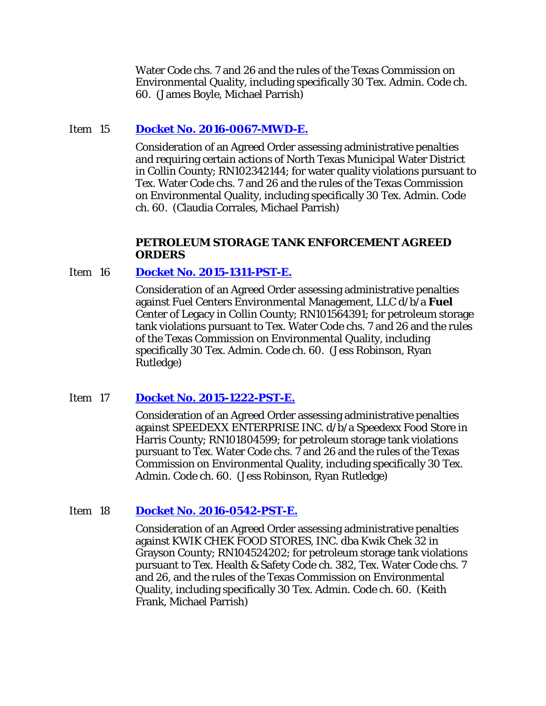Water Code chs. 7 and 26 and the rules of the Texas Commission on Environmental Quality, including specifically 30 Tex. Admin. Code ch. 60. (James Boyle, Michael Parrish)

### Item 15 **[Docket No. 2016-0067-MWD-E.](http://www.tceq.texas.gov/assets/public/comm_exec/agendas/comm/backup/Agendas/2016/10-05-2016/0067MWD.pdf)**

Consideration of an Agreed Order assessing administrative penalties and requiring certain actions of North Texas Municipal Water District in Collin County; RN102342144; for water quality violations pursuant to Tex. Water Code chs. 7 and 26 and the rules of the Texas Commission on Environmental Quality, including specifically 30 Tex. Admin. Code ch. 60. (Claudia Corrales, Michael Parrish)

#### **PETROLEUM STORAGE TANK ENFORCEMENT AGREED ORDERS**

#### Item 16 **[Docket No. 2015-1311-PST-E.](http://www.tceq.texas.gov/assets/public/comm_exec/agendas/comm/backup/Agendas/2016/10-05-2016/1311PST.pdf)**

Consideration of an Agreed Order assessing administrative penalties against Fuel Centers Environmental Management, LLC d/b/a **Fuel**  Center of Legacy in Collin County; RN101564391; for petroleum storage tank violations pursuant to Tex. Water Code chs. 7 and 26 and the rules of the Texas Commission on Environmental Quality, including specifically 30 Tex. Admin. Code ch. 60. (Jess Robinson, Ryan Rutledge)

#### Item 17 **[Docket No. 2015-1222-PST-E.](http://www.tceq.texas.gov/assets/public/comm_exec/agendas/comm/backup/Agendas/2016/10-05-2016/1222PST.pdf)**

Consideration of an Agreed Order assessing administrative penalties against SPEEDEXX ENTERPRISE INC. d/b/a Speedexx Food Store in Harris County; RN101804599; for petroleum storage tank violations pursuant to Tex. Water Code chs. 7 and 26 and the rules of the Texas Commission on Environmental Quality, including specifically 30 Tex. Admin. Code ch. 60. (Jess Robinson, Ryan Rutledge)

#### Item 18 **[Docket No. 2016-0542-PST-E.](http://www.tceq.texas.gov/assets/public/comm_exec/agendas/comm/backup/Agendas/2016/10-05-2016/0542PST.pdf)**

Consideration of an Agreed Order assessing administrative penalties against KWIK CHEK FOOD STORES, INC. dba Kwik Chek 32 in Grayson County; RN104524202; for petroleum storage tank violations pursuant to Tex. Health & Safety Code ch. 382, Tex. Water Code chs. 7 and 26, and the rules of the Texas Commission on Environmental Quality, including specifically 30 Tex. Admin. Code ch. 60. (Keith Frank, Michael Parrish)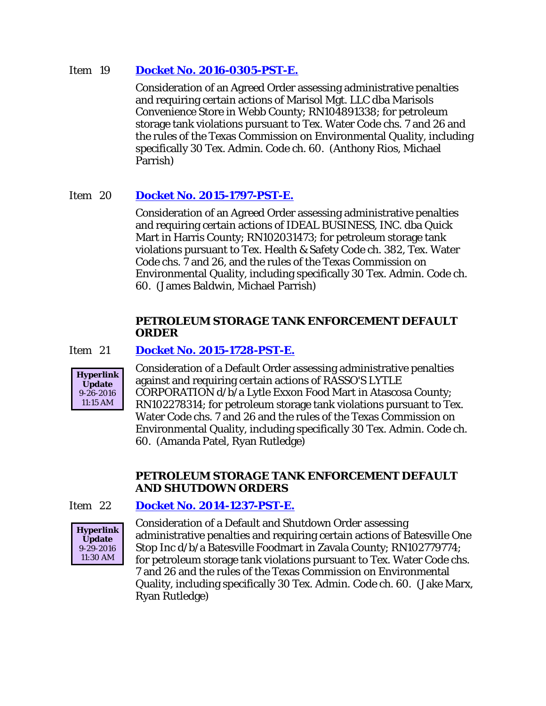### Item 19 **[Docket No. 2016-0305-PST-E.](http://www.tceq.texas.gov/assets/public/comm_exec/agendas/comm/backup/Agendas/2016/10-05-2016/0305PST.pdf)**

Consideration of an Agreed Order assessing administrative penalties and requiring certain actions of Marisol Mgt. LLC dba Marisols Convenience Store in Webb County; RN104891338; for petroleum storage tank violations pursuant to Tex. Water Code chs. 7 and 26 and the rules of the Texas Commission on Environmental Quality, including specifically 30 Tex. Admin. Code ch. 60. (Anthony Rios, Michael Parrish)

# Item 20 **[Docket No. 2015-1797-PST-E.](http://www.tceq.texas.gov/assets/public/comm_exec/agendas/comm/backup/Agendas/2016/10-05-2016/1797PST.pdf)**

Consideration of an Agreed Order assessing administrative penalties and requiring certain actions of IDEAL BUSINESS, INC. dba Quick Mart in Harris County; RN102031473; for petroleum storage tank violations pursuant to Tex. Health & Safety Code ch. 382, Tex. Water Code chs. 7 and 26, and the rules of the Texas Commission on Environmental Quality, including specifically 30 Tex. Admin. Code ch. 60. (James Baldwin, Michael Parrish)

### **PETROLEUM STORAGE TANK ENFORCEMENT DEFAULT ORDER**

### Item 21 **[Docket No. 2015-1728-PST-E.](http://www.tceq.texas.gov/assets/public/comm_exec/agendas/comm/backup/Agendas/2016/10-05-2016/1728PST.pdf)**



Consideration of a Default Order assessing administrative penalties against and requiring certain actions of RASSO'S LYTLE CORPORATION d/b/a Lytle Exxon Food Mart in Atascosa County; RN102278314; for petroleum storage tank violations pursuant to Tex. Water Code chs. 7 and 26 and the rules of the Texas Commission on Environmental Quality, including specifically 30 Tex. Admin. Code ch. 60. (Amanda Patel, Ryan Rutledge)

### **PETROLEUM STORAGE TANK ENFORCEMENT DEFAULT AND SHUTDOWN ORDERS**

# Item 22 **[Docket No. 2014-1237-PST-E.](http://www.tceq.texas.gov/assets/public/comm_exec/agendas/comm/backup/Agendas/2016/10-05-2016/1237PST.pdf)**



Consideration of a Default and Shutdown Order assessing administrative penalties and requiring certain actions of Batesville One Stop Inc d/b/a Batesville Foodmart in Zavala County; RN102779774; for petroleum storage tank violations pursuant to Tex. Water Code chs. 7 and 26 and the rules of the Texas Commission on Environmental Quality, including specifically 30 Tex. Admin. Code ch. 60. (Jake Marx, Ryan Rutledge)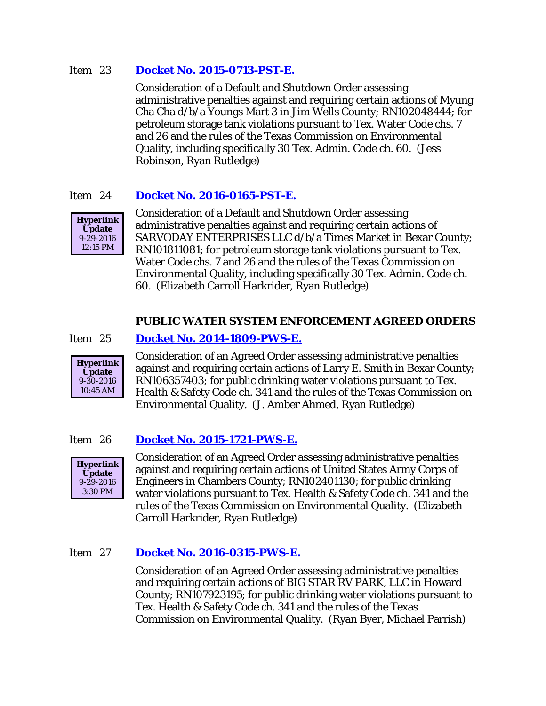### Item 23 **[Docket No. 2015-0713-PST-E.](http://www.tceq.texas.gov/assets/public/comm_exec/agendas/comm/backup/Agendas/2016/10-05-2016/0713PST.pdf)**

Consideration of a Default and Shutdown Order assessing administrative penalties against and requiring certain actions of Myung Cha Cha d/b/a Youngs Mart 3 in Jim Wells County; RN102048444; for petroleum storage tank violations pursuant to Tex. Water Code chs. 7 and 26 and the rules of the Texas Commission on Environmental Quality, including specifically 30 Tex. Admin. Code ch. 60. (Jess Robinson, Ryan Rutledge)

# Item 24 **[Docket No. 2016-0165-PST-E.](http://www.tceq.texas.gov/assets/public/comm_exec/agendas/comm/backup/Agendas/2016/10-05-2016/0165PST.pdf)**



Consideration of a Default and Shutdown Order assessing administrative penalties against and requiring certain actions of SARVODAY ENTERPRISES LLC d/b/a Times Market in Bexar County; RN101811081; for petroleum storage tank violations pursuant to Tex. Water Code chs. 7 and 26 and the rules of the Texas Commission on Environmental Quality, including specifically 30 Tex. Admin. Code ch. 60. (Elizabeth Carroll Harkrider, Ryan Rutledge)

# **PUBLIC WATER SYSTEM ENFORCEMENT AGREED ORDERS**

### Item 25 **[Docket No. 2014-1809-PWS-E.](http://www.tceq.texas.gov/assets/public/comm_exec/agendas/comm/backup/Agendas/2016/10-05-2016/1809PWS.pdf)**



Consideration of an Agreed Order assessing administrative penalties against and requiring certain actions of Larry E. Smith in Bexar County; RN106357403; for public drinking water violations pursuant to Tex. Health & Safety Code ch. 341 and the rules of the Texas Commission on Environmental Quality. (J. Amber Ahmed, Ryan Rutledge)

### Item 26 **[Docket No. 2015-1721-PWS-E.](http://www.tceq.texas.gov/assets/public/comm_exec/agendas/comm/backup/Agendas/2016/10-05-2016/1721PWS.pdf)**



Consideration of an Agreed Order assessing administrative penalties against and requiring certain actions of United States Army Corps of Engineers in Chambers County; RN102401130; for public drinking water violations pursuant to Tex. Health & Safety Code ch. 341 and the rules of the Texas Commission on Environmental Quality. (Elizabeth Carroll Harkrider, Ryan Rutledge)

# Item 27 **[Docket No. 2016-0315-PWS-E.](http://www.tceq.texas.gov/assets/public/comm_exec/agendas/comm/backup/Agendas/2016/10-05-2016/0315PWS.pdf)**

Consideration of an Agreed Order assessing administrative penalties and requiring certain actions of BIG STAR RV PARK, LLC in Howard County; RN107923195; for public drinking water violations pursuant to Tex. Health & Safety Code ch. 341 and the rules of the Texas Commission on Environmental Quality. (Ryan Byer, Michael Parrish)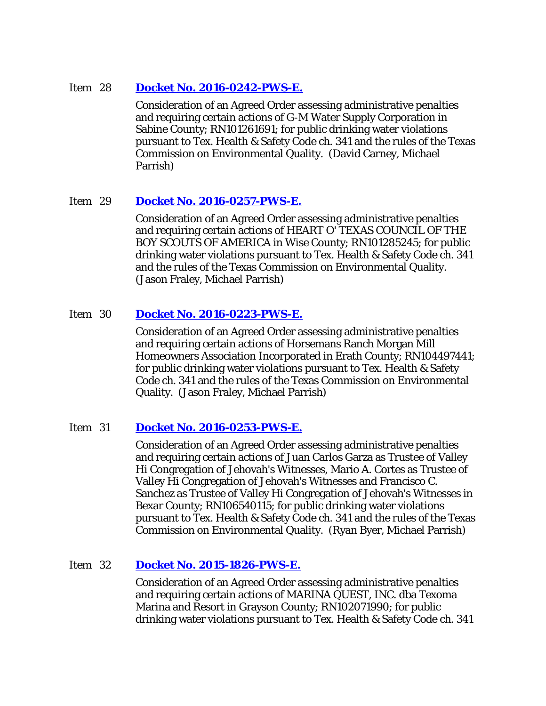#### Item 28 **[Docket No. 2016-0242-PWS-E.](http://www.tceq.texas.gov/assets/public/comm_exec/agendas/comm/backup/Agendas/2016/10-05-2016/0242PWS.pdf)**

Consideration of an Agreed Order assessing administrative penalties and requiring certain actions of G-M Water Supply Corporation in Sabine County; RN101261691; for public drinking water violations pursuant to Tex. Health & Safety Code ch. 341 and the rules of the Texas Commission on Environmental Quality. (David Carney, Michael Parrish)

### Item 29 **[Docket No. 2016-0257-PWS-E.](http://www.tceq.texas.gov/assets/public/comm_exec/agendas/comm/backup/Agendas/2016/10-05-2016/0257PWS.pdf)**

Consideration of an Agreed Order assessing administrative penalties and requiring certain actions of HEART O' TEXAS COUNCIL OF THE BOY SCOUTS OF AMERICA in Wise County; RN101285245; for public drinking water violations pursuant to Tex. Health & Safety Code ch. 341 and the rules of the Texas Commission on Environmental Quality. (Jason Fraley, Michael Parrish)

### Item 30 **[Docket No. 2016-0223-PWS-E.](http://www.tceq.texas.gov/assets/public/comm_exec/agendas/comm/backup/Agendas/2016/10-05-2016/0223PWS.pdf)**

Consideration of an Agreed Order assessing administrative penalties and requiring certain actions of Horsemans Ranch Morgan Mill Homeowners Association Incorporated in Erath County; RN104497441; for public drinking water violations pursuant to Tex. Health & Safety Code ch. 341 and the rules of the Texas Commission on Environmental Quality. (Jason Fraley, Michael Parrish)

### Item 31 **[Docket No. 2016-0253-PWS-E.](http://www.tceq.texas.gov/assets/public/comm_exec/agendas/comm/backup/Agendas/2016/10-05-2016/0253PWS.pdf)**

Consideration of an Agreed Order assessing administrative penalties and requiring certain actions of Juan Carlos Garza as Trustee of Valley Hi Congregation of Jehovah's Witnesses, Mario A. Cortes as Trustee of Valley Hi Congregation of Jehovah's Witnesses and Francisco C. Sanchez as Trustee of Valley Hi Congregation of Jehovah's Witnesses in Bexar County; RN106540115; for public drinking water violations pursuant to Tex. Health & Safety Code ch. 341 and the rules of the Texas Commission on Environmental Quality. (Ryan Byer, Michael Parrish)

### Item 32 **[Docket No. 2015-1826-PWS-E.](http://www.tceq.texas.gov/assets/public/comm_exec/agendas/comm/backup/Agendas/2016/10-05-2016/1826PWS.pdf)**

Consideration of an Agreed Order assessing administrative penalties and requiring certain actions of MARINA QUEST, INC. dba Texoma Marina and Resort in Grayson County; RN102071990; for public drinking water violations pursuant to Tex. Health & Safety Code ch. 341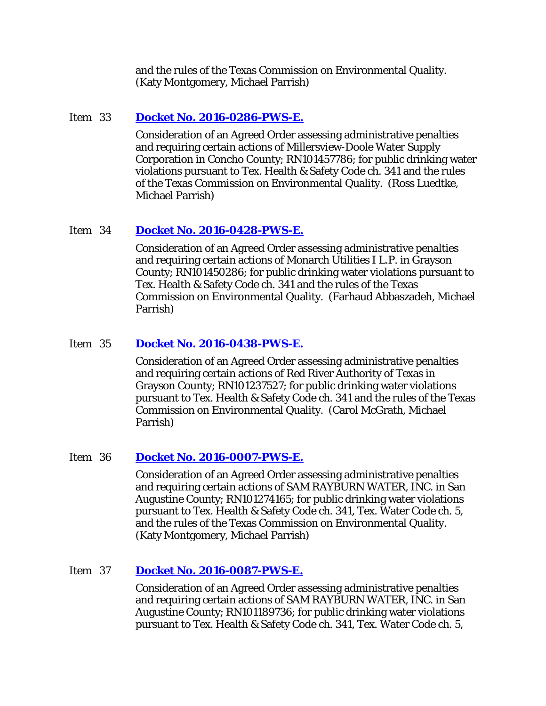and the rules of the Texas Commission on Environmental Quality. (Katy Montgomery, Michael Parrish)

### Item 33 **[Docket No. 2016-0286-PWS-E.](http://www.tceq.texas.gov/assets/public/comm_exec/agendas/comm/backup/Agendas/2016/10-05-2016/0286PWS.pdf)**

Consideration of an Agreed Order assessing administrative penalties and requiring certain actions of Millersview-Doole Water Supply Corporation in Concho County; RN101457786; for public drinking water violations pursuant to Tex. Health & Safety Code ch. 341 and the rules of the Texas Commission on Environmental Quality. (Ross Luedtke, Michael Parrish)

#### Item 34 **[Docket No. 2016-0428-PWS-E.](http://www.tceq.texas.gov/assets/public/comm_exec/agendas/comm/backup/Agendas/2016/10-05-2016/0428PWS.pdf)**

Consideration of an Agreed Order assessing administrative penalties and requiring certain actions of Monarch Utilities I L.P. in Grayson County; RN101450286; for public drinking water violations pursuant to Tex. Health & Safety Code ch. 341 and the rules of the Texas Commission on Environmental Quality. (Farhaud Abbaszadeh, Michael Parrish)

#### Item 35 **[Docket No. 2016-0438-PWS-E.](http://www.tceq.texas.gov/assets/public/comm_exec/agendas/comm/backup/Agendas/2016/10-05-2016/0438PWS.pdf)**

Consideration of an Agreed Order assessing administrative penalties and requiring certain actions of Red River Authority of Texas in Grayson County; RN101237527; for public drinking water violations pursuant to Tex. Health & Safety Code ch. 341 and the rules of the Texas Commission on Environmental Quality. (Carol McGrath, Michael Parrish)

#### Item 36 **[Docket No. 2016-0007-PWS-E.](http://www.tceq.texas.gov/assets/public/comm_exec/agendas/comm/backup/Agendas/2016/10-05-2016/0007PWS.pdf)**

Consideration of an Agreed Order assessing administrative penalties and requiring certain actions of SAM RAYBURN WATER, INC. in San Augustine County; RN101274165; for public drinking water violations pursuant to Tex. Health & Safety Code ch. 341, Tex. Water Code ch. 5, and the rules of the Texas Commission on Environmental Quality. (Katy Montgomery, Michael Parrish)

### Item 37 **[Docket No. 2016-0087-PWS-E.](http://www.tceq.texas.gov/assets/public/comm_exec/agendas/comm/backup/Agendas/2016/10-05-2016/0087PWS.pdf)**

Consideration of an Agreed Order assessing administrative penalties and requiring certain actions of SAM RAYBURN WATER, INC. in San Augustine County; RN101189736; for public drinking water violations pursuant to Tex. Health & Safety Code ch. 341, Tex. Water Code ch. 5,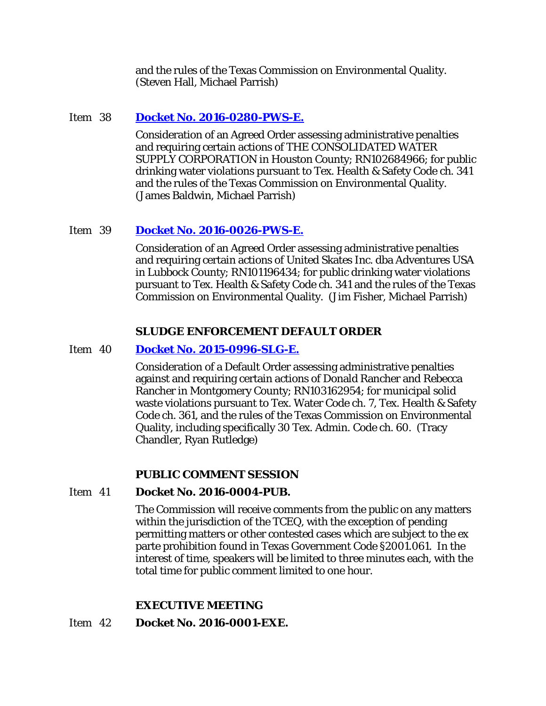and the rules of the Texas Commission on Environmental Quality. (Steven Hall, Michael Parrish)

### Item 38 **[Docket No. 2016-0280-PWS-E.](http://www.tceq.texas.gov/assets/public/comm_exec/agendas/comm/backup/Agendas/2016/10-05-2016/0280PWS.pdf)**

Consideration of an Agreed Order assessing administrative penalties and requiring certain actions of THE CONSOLIDATED WATER SUPPLY CORPORATION in Houston County; RN102684966; for public drinking water violations pursuant to Tex. Health & Safety Code ch. 341 and the rules of the Texas Commission on Environmental Quality. (James Baldwin, Michael Parrish)

# Item 39 **[Docket No. 2016-0026-PWS-E.](http://www.tceq.texas.gov/assets/public/comm_exec/agendas/comm/backup/Agendas/2016/10-05-2016/0026PWS.pdf)**

Consideration of an Agreed Order assessing administrative penalties and requiring certain actions of United Skates Inc. dba Adventures USA in Lubbock County; RN101196434; for public drinking water violations pursuant to Tex. Health & Safety Code ch. 341 and the rules of the Texas Commission on Environmental Quality. (Jim Fisher, Michael Parrish)

### **SLUDGE ENFORCEMENT DEFAULT ORDER**

### Item 40 **[Docket No. 2015-0996-SLG-E.](http://www.tceq.texas.gov/assets/public/comm_exec/agendas/comm/backup/Agendas/2016/10-05-2016/0996SLG.pdf)**

Consideration of a Default Order assessing administrative penalties against and requiring certain actions of Donald Rancher and Rebecca Rancher in Montgomery County; RN103162954; for municipal solid waste violations pursuant to Tex. Water Code ch. 7, Tex. Health & Safety Code ch. 361, and the rules of the Texas Commission on Environmental Quality, including specifically 30 Tex. Admin. Code ch. 60. (Tracy Chandler, Ryan Rutledge)

### **PUBLIC COMMENT SESSION**

### Item 41 **Docket No. 2016-0004-PUB.**

The Commission will receive comments from the public on any matters within the jurisdiction of the TCEQ, with the exception of pending permitting matters or other contested cases which are subject to the ex parte prohibition found in Texas Government Code §2001.061. In the interest of time, speakers will be limited to three minutes each, with the total time for public comment limited to one hour.

# **EXECUTIVE MEETING**

### Item 42 **Docket No. 2016-0001-EXE.**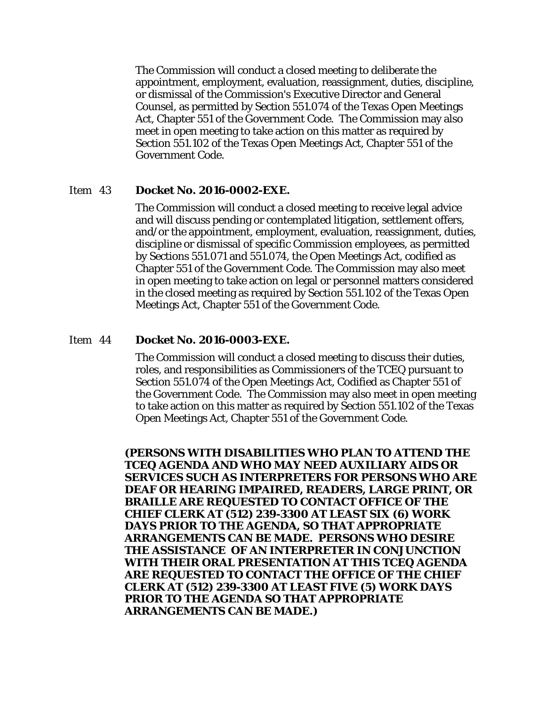The Commission will conduct a closed meeting to deliberate the appointment, employment, evaluation, reassignment, duties, discipline, or dismissal of the Commission's Executive Director and General Counsel, as permitted by Section 551.074 of the Texas Open Meetings Act, Chapter 551 of the Government Code. The Commission may also meet in open meeting to take action on this matter as required by Section 551.102 of the Texas Open Meetings Act, Chapter 551 of the Government Code.

#### Item 43 **Docket No. 2016-0002-EXE.**

The Commission will conduct a closed meeting to receive legal advice and will discuss pending or contemplated litigation, settlement offers, and/or the appointment, employment, evaluation, reassignment, duties, discipline or dismissal of specific Commission employees, as permitted by Sections 551.071 and 551.074, the Open Meetings Act, codified as Chapter 551 of the Government Code. The Commission may also meet in open meeting to take action on legal or personnel matters considered in the closed meeting as required by Section 551.102 of the Texas Open Meetings Act, Chapter 551 of the Government Code.

#### Item 44 **Docket No. 2016-0003-EXE.**

The Commission will conduct a closed meeting to discuss their duties, roles, and responsibilities as Commissioners of the TCEQ pursuant to Section 551.074 of the Open Meetings Act, Codified as Chapter 551 of the Government Code. The Commission may also meet in open meeting to take action on this matter as required by Section 551.102 of the Texas Open Meetings Act, Chapter 551 of the Government Code.

**(PERSONS WITH DISABILITIES WHO PLAN TO ATTEND THE TCEQ AGENDA AND WHO MAY NEED AUXILIARY AIDS OR SERVICES SUCH AS INTERPRETERS FOR PERSONS WHO ARE DEAF OR HEARING IMPAIRED, READERS, LARGE PRINT, OR BRAILLE ARE REQUESTED TO CONTACT OFFICE OF THE CHIEF CLERK AT (512) 239-3300 AT LEAST SIX (6) WORK DAYS PRIOR TO THE AGENDA, SO THAT APPROPRIATE ARRANGEMENTS CAN BE MADE. PERSONS WHO DESIRE THE ASSISTANCE OF AN INTERPRETER IN CONJUNCTION WITH THEIR ORAL PRESENTATION AT THIS TCEQ AGENDA ARE REQUESTED TO CONTACT THE OFFICE OF THE CHIEF CLERK AT (512) 239-3300 AT LEAST FIVE (5) WORK DAYS PRIOR TO THE AGENDA SO THAT APPROPRIATE ARRANGEMENTS CAN BE MADE.)**